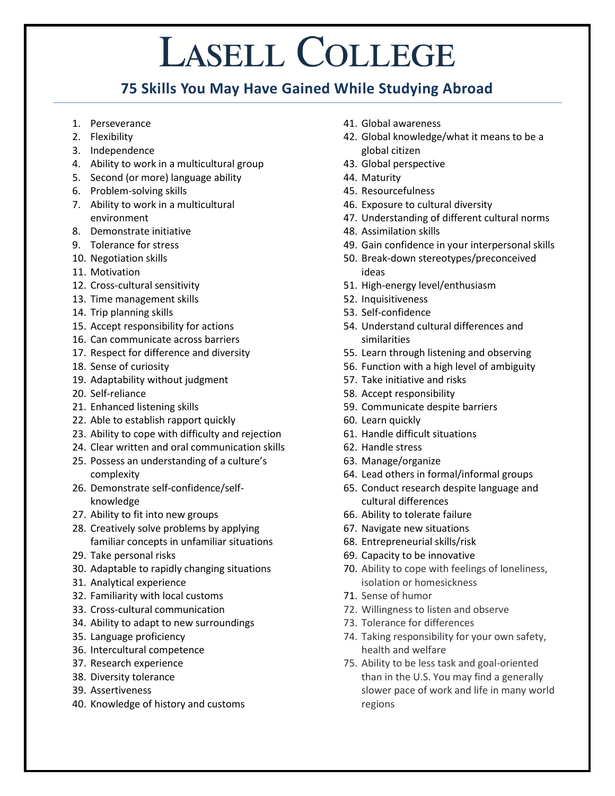## **LASELL COLLEGE**

## **75 Skills You May Have Gained While Studying Abroad**

- 1. Perseverance
- 2. Flexibility
- 3. Independence
- 4. Ability to work in a multicultural group
- 5. Second (or more) language ability
- 6. Problem-solving skills
- 7. Ability to work in a multicultural environment
- 8. Demonstrate initiative
- 9. Tolerance for stress
- 10. Negotiation skills
- 11. Motivation
- 12. Cross-cultural sensitivity
- 13. Time management skills
- 14. Trip planning skills
- 15. Accept responsibility for actions
- 16. Can communicate across barriers
- 17. Respect for difference and diversity
- 18. Sense of curiosity
- 19. Adaptability without judgment
- 20. Self-reliance
- 21. Enhanced listening skills
- 22. Able to establish rapport quickly
- 23. Ability to cope with difficulty and rejection
- 24. Clear written and oral communication skills
- 25. Possess an understanding of a culture's complexity
- 26. Demonstrate self-confidence/selfknowledge
- 27. Ability to fit into new groups
- 28. Creatively solve problems by applying familiar concepts in unfamiliar situations
- 29. Take personal risks
- 30. Adaptable to rapidly changing situations
- 31. Analytical experience
- 32. Familiarity with local customs
- 33. Cross-cultural communication
- 34. Ability to adapt to new surroundings
- 35. Language proficiency
- 36. Intercultural competence
- 37. Research experience
- 38. Diversity tolerance
- 39. Assertiveness
- 40. Knowledge of history and customs
- 41. Global awareness
- 42. Global knowledge/what it means to be a global citizen
- 43. Global perspective
- 44. Maturity
- 45. Resourcefulness
- 46. Exposure to cultural diversity
- 47. Understanding of different cultural norms
- 48. Assimilation skills
- 49. Gain confidence in your interpersonal skills
- 50. Break-down stereotypes/preconceived ideas
- 51. High-energy level/enthusiasm
- 52. Inquisitiveness
- 53. Self-confidence
- 54. Understand cultural differences and similarities
- 55. Learn through listening and observing
- 56. Function with a high level of ambiguity
- 57. Take initiative and risks
- 58. Accept responsibility
- 59. Communicate despite barriers
- 60. Learn quickly
- 61. Handle difficult situations
- 62. Handle stress
- 63. Manage/organize
- 64. Lead others in formal/informal groups
- 65. Conduct research despite language and cultural differences
- 66. Ability to tolerate failure
- 67. Navigate new situations
- 68. Entrepreneurial skills/risk
- 69. Capacity to be innovative
- 70. Ability to cope with feelings of loneliness, isolation or homesickness
- 71. Sense of humor
- 72. Willingness to listen and observe
- 73. Tolerance for differences
- 74. Taking responsibility for your own safety, health and welfare
- 75. Ability to be less task and goal-oriented than in the U.S. You may find a generally slower pace of work and life in many world regions